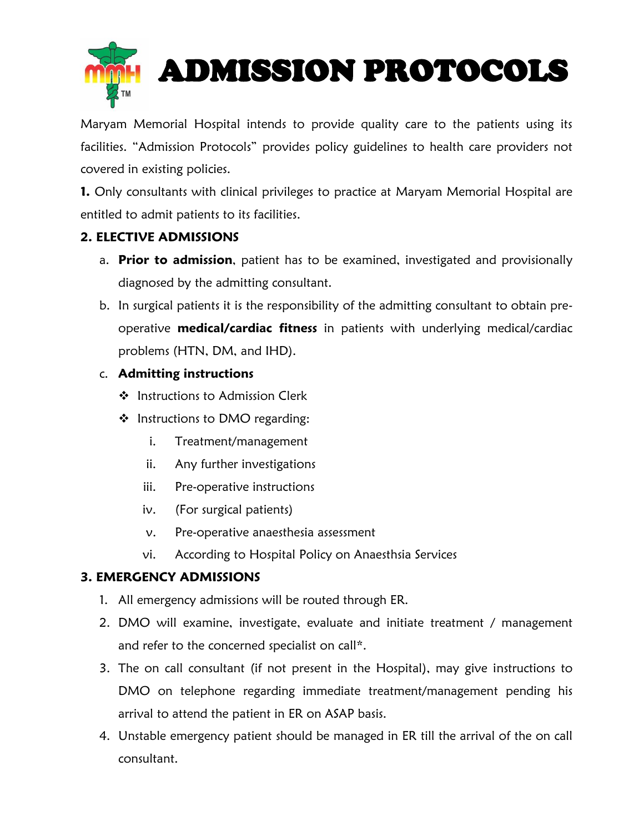

Maryam Memorial Hospital intends to provide quality care to the patients using its facilities. "Admission Protocols" provides policy guidelines to health care providers not covered in existing policies.

**1.** Only consultants with clinical privileges to practice at Maryam Memorial Hospital are entitled to admit patients to its facilities.

## **2. ELECTIVE ADMISSIONS**

- a. **Prior to admission**, patient has to be examined, investigated and provisionally diagnosed by the admitting consultant.
- b. In surgical patients it is the responsibility of the admitting consultant to obtain preoperative **medical/cardiac fitness** in patients with underlying medical/cardiac problems (HTN, DM, and IHD).

## c. **Admitting instructions**

- ❖ Instructions to Admission Clerk
- ❖ Instructions to DMO regarding:
	- i. Treatment/management
	- ii. Any further investigations
	- iii. Pre-operative instructions
	- iv. (For surgical patients)
	- v. Pre-operative anaesthesia assessment
	- vi. According to Hospital Policy on Anaesthsia Services

## **3. EMERGENCY ADMISSIONS**

- 1. All emergency admissions will be routed through ER.
- 2. DMO will examine, investigate, evaluate and initiate treatment / management and refer to the concerned specialist on call\*.
- 3. The on call consultant (if not present in the Hospital), may give instructions to DMO on telephone regarding immediate treatment/management pending his arrival to attend the patient in ER on ASAP basis.
- 4. Unstable emergency patient should be managed in ER till the arrival of the on call consultant.